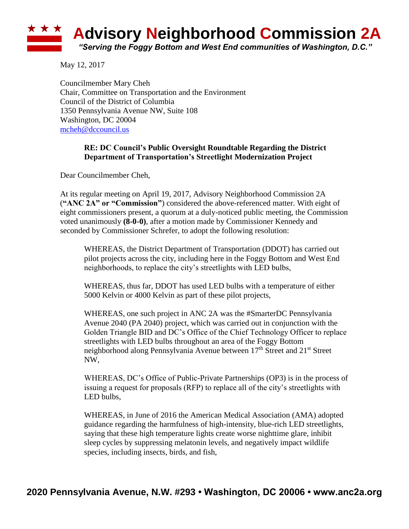# **Advisory Neighborhood Commission 2A** *"Serving the Foggy Bottom and West End communities of Washington, D.C."*

May 12, 2017

Councilmember Mary Cheh Chair, Committee on Transportation and the Environment Council of the District of Columbia 1350 Pennsylvania Avenue NW, Suite 108 Washington, DC 20004 [mcheh@dccouncil.us](mailto:mcheh@dccouncil.us)

#### **RE: DC Council's Public Oversight Roundtable Regarding the District Department of Transportation's Streetlight Modernization Project**

Dear Councilmember Cheh,

At its regular meeting on April 19, 2017, Advisory Neighborhood Commission 2A (**"ANC 2A" or "Commission"**) considered the above-referenced matter. With eight of eight commissioners present, a quorum at a duly-noticed public meeting, the Commission voted unanimously **(8-0-0)**, after a motion made by Commissioner Kennedy and seconded by Commissioner Schrefer, to adopt the following resolution:

WHEREAS, the District Department of Transportation (DDOT) has carried out pilot projects across the city, including here in the Foggy Bottom and West End neighborhoods, to replace the city's streetlights with LED bulbs,

WHEREAS, thus far, DDOT has used LED bulbs with a temperature of either 5000 Kelvin or 4000 Kelvin as part of these pilot projects,

WHEREAS, one such project in ANC 2A was the #SmarterDC Pennsylvania Avenue 2040 (PA 2040) project, which was carried out in conjunction with the Golden Triangle BID and DC's Office of the Chief Technology Officer to replace streetlights with LED bulbs throughout an area of the Foggy Bottom neighborhood along Pennsylvania Avenue between 17<sup>th</sup> Street and 21<sup>st</sup> Street NW,

WHEREAS, DC's Office of Public-Private Partnerships (OP3) is in the process of issuing a request for proposals (RFP) to replace all of the city's streetlights with LED bulbs,

WHEREAS, in June of 2016 the American Medical Association (AMA) adopted guidance regarding the harmfulness of high-intensity, blue-rich LED streetlights, saying that these high temperature lights create worse nighttime glare, inhibit sleep cycles by suppressing melatonin levels, and negatively impact wildlife species, including insects, birds, and fish,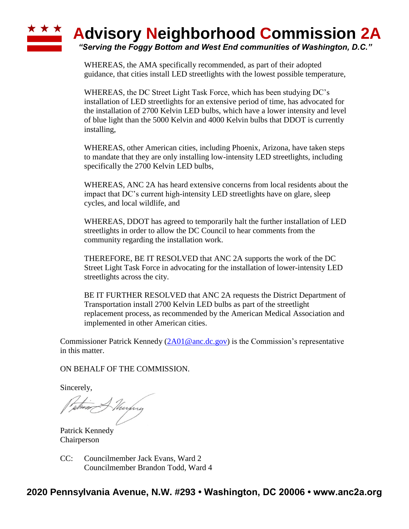#### ★ ★ ★ **Advisory Neighborhood Commission 2A** *"Serving the Foggy Bottom and West End communities of Washington, D.C."*

WHEREAS, the AMA specifically recommended, as part of their adopted guidance, that cities install LED streetlights with the lowest possible temperature,

WHEREAS, the DC Street Light Task Force, which has been studying DC's installation of LED streetlights for an extensive period of time, has advocated for the installation of 2700 Kelvin LED bulbs, which have a lower intensity and level of blue light than the 5000 Kelvin and 4000 Kelvin bulbs that DDOT is currently installing,

WHEREAS, other American cities, including Phoenix, Arizona, have taken steps to mandate that they are only installing low-intensity LED streetlights, including specifically the 2700 Kelvin LED bulbs,

WHEREAS, ANC 2A has heard extensive concerns from local residents about the impact that DC's current high-intensity LED streetlights have on glare, sleep cycles, and local wildlife, and

WHEREAS, DDOT has agreed to temporarily halt the further installation of LED streetlights in order to allow the DC Council to hear comments from the community regarding the installation work.

THEREFORE, BE IT RESOLVED that ANC 2A supports the work of the DC Street Light Task Force in advocating for the installation of lower-intensity LED streetlights across the city.

BE IT FURTHER RESOLVED that ANC 2A requests the District Department of Transportation install 2700 Kelvin LED bulbs as part of the streetlight replacement process, as recommended by the American Medical Association and implemented in other American cities.

Commissioner Patrick Kennedy  $(2A01@anc.doc.gov)$  is the Commission's representative in this matter.

ON BEHALF OF THE COMMISSION.

Sincerely,

Thurping

Patrick Kennedy Chairperson

CC: Councilmember Jack Evans, Ward 2 Councilmember Brandon Todd, Ward 4

## **2020 Pennsylvania Avenue, N.W. #293 • Washington, DC 20006 • www.anc2a.org**